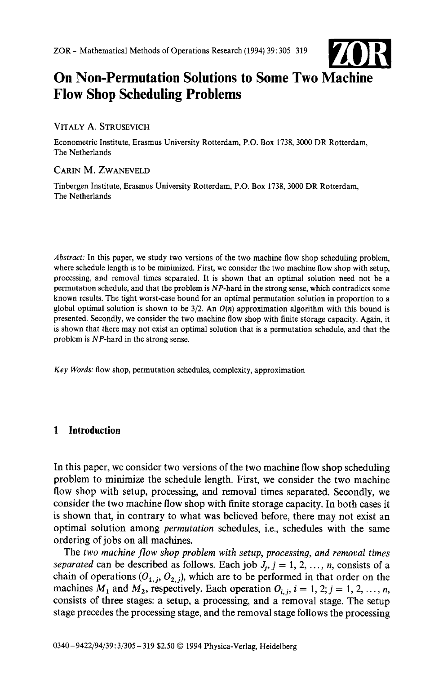

# On **Non-Permutation Solutions to Some Two Machine Flow Shop Scheduling Problems**

#### VITALY A. STRUSEVICH

Econometric Institute, Erasmus University Rotterdam, P.O. Box 1738, 3000 DR Rotterdam, The Netherlands

### CARIN M. ZWANEVELD

Tinbergen Institute, Erasmus University Rotterdam, P.O. Box 1738, 3000 DR Rotterdam, The Netherlands

*Abstract:* In this paper, we study two versions of the two machine flow shop scheduling problem, where schedule length is to be minimized. First, we consider the two machine flow shop with setup, processing, and removal times separated. It is shown that an optimal solution need not be a permutation schedule, and that the problem is NP-hard in the strong sense, which contradicts some known results. The tight worst-case bound for an optimal permutation solution in proportion to a global optimal solution is shown to be 3/2. An *O(n)* approximation algorithm with this bound is presented. Secondly, we consider the two machine flow shop with finite storage capacity. Again, it is shown that there may not exist an optimal solution that is a permutation schedule, and that the problem is NP-hard in the strong sense.

*Key Words:* flow shop, permutation schedules, complexity, approximation

## **1 Introduction**

In this paper, we consider two versions of the two machine flow shop scheduling problem to minimize the schedule length. First, we consider the two machine flow shop with setup, processing, and removal times separated. Secondly, we consider the two machine flow shop with finite storage capacity. In both cases it is shown that, in contrary to what was believed before, there may not exist an optimal solution among *permutation* schedules, i.e., schedules with the same ordering of jobs on all machines.

The *two machine flow shop problem with setup, processing, and removal times separated* can be described as follows. Each job  $J_i$ ,  $j = 1, 2, ..., n$ , consists of a chain of operations  $(O_{1,j}, O_{2,j})$ , which are to be performed in that order on the machines  $M_1$  and  $M_2$ , respectively. Each operation  $O_{i,j}$ ,  $i = 1, 2; j = 1, 2, ..., n$ , consists of three stages: a setup, a processing, and a removal stage. The setup stage precedes the processing stage, and the removal stage follows the processing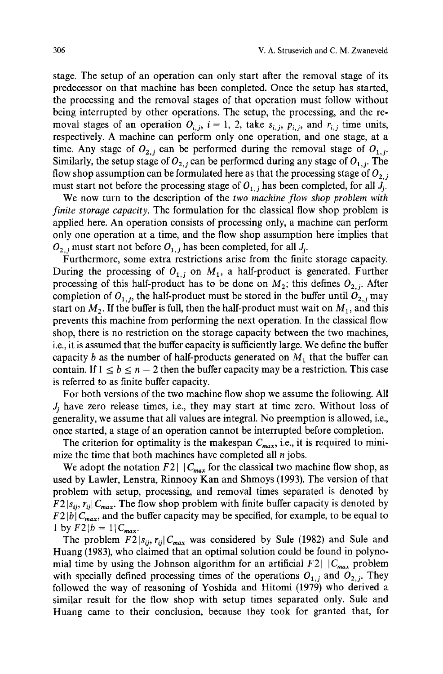stage. The setup of an operation can only start after the removal stage of its predecessor on that machine has been completed. Once the setup has started, the processing and the removal stages of that operation must follow without being interrupted by other operations. The setup, the processing, and the removal stages of an operation  $O_{i,j}$ ,  $i = 1, 2$ , take  $s_{i,j}$ ,  $p_{i,j}$ , and  $r_{i,j}$  time units, respectively. A machine can perform only one operation, and one stage, at a time. Any stage of  $O_{2,i}$  can be performed during the removal stage of  $O_{1,i}$ . Similarly, the setup stage of  $O_{2,i}$  can be performed during any stage of  $O_{1,i}$ . The flow shop assumption can be formulated here as that the processing stage of  $O_{2,i}$ must start not before the processing stage of  $O_{1,i}$  has been completed, for all  $J_i$ .

We now turn to the description of the *two machine flow shop problem with finite storage capacity.* The formulation for the classical flow shop problem is applied here. An operation consists of processing only, a machine can perform only one operation at a time, and the flow shop assumption here implies that  $O_{2,i}$  must start not before  $O_{1,i}$  has been completed, for all  $J_i$ .

Furthermore, some extra restrictions arise from the finite storage capacity. During the processing of  $O_{1,i}$  on  $M_1$ , a half-product is generated. Further processing of this half-product has to be done on  $M_2$ ; this defines  $O_{2,i}$ . After completion of  $O_{1,j}$ , the half-product must be stored in the buffer until  $O_{2,j}$  may start on  $M_2$ . If the buffer is full, then the half-product must wait on  $M_1$ , and this prevents this machine from performing the next operation. In the classical flow shop, there is no restriction on the storage capacity between the two machines, i.e., it is assumed that the buffer capacity is sufficiently large. We define the buffer capacity b as the number of half-products generated on  $M_1$  that the buffer can contain. If  $1 \le b \le n - 2$  then the buffer capacity may be a restriction. This case is referred to as finite buffer capacity.

For both versions of the two machine flow shop we assume the following. All  $J_i$  have zero release times, i.e., they may start at time zero. Without loss of generality, we assume that all values are integral. No preemption is allowed, i.e., once started, a stage of an operation cannot be interrupted before completion.

The criterion for optimality is the makespan  $C_{max}$ , i.e., it is required to minimize the time that both machines have completed all  $n$  jobs.

We adopt the notation  $F2 \mid |C_{max}|$  for the classical two machine flow shop, as used by Lawler, Lenstra, Rinnooy Kan and Shmoys (1993). The version of that problem with setup, processing, and removal times separated is denoted by  $F2 |_{S_{ij}}$ ,  $r_{ij} | C_{max}$ . The flow shop problem with finite buffer capacity is denoted by  $F2 |b| C_{max}$ , and the buffer capacity may be specified, for example, to be equal to I by  $F2|b = 1|C_{max}$ .

The problem  $F2|_{S_{ij}}, r_{ij}|C_{max}$  was considered by Sule (1982) and Sule and Huang (1983), who claimed that an optimal solution could be found in polynomial time by using the Johnson algorithm for an artificial  $F2 \mid |C_{max}|$  problem with specially defined processing times of the operations  $O_{1,j}$  and  $O_{2,j}$ . They followed the way of reasoning of Yoshida and Hitomi (1979) who derived a similar result for the flow shop with setup times separated only. Sule and Huang came to their conclusion, because they took for granted that, for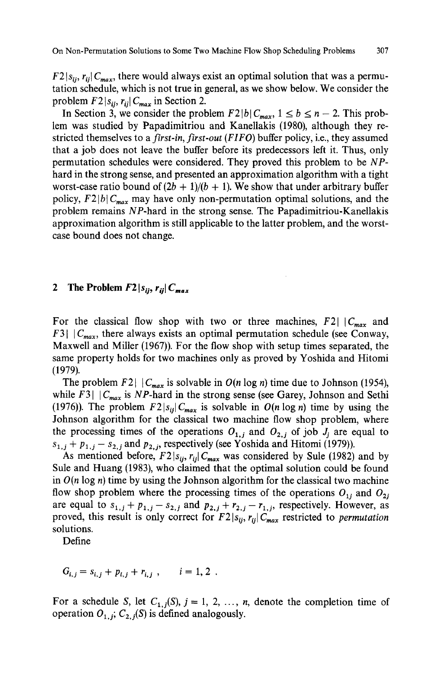$F2 |s_{ij}, r_{ij}| C_{max}$ , there would always exist an optimal solution that was a permutation schedule, which is not true in general, as we show below. We consider the problem  $F2 | s_{ij}, r_{ij} | C_{max}$  in Section 2.

In Section 3, we consider the problem  $F2|b|C_{max}$ ,  $1 \le b \le n-2$ . This problem was studied by Papadimitriou and Kanellakis (1980), although they restricted themselves to a *first-in, first-out (FIFO)* buffer policy, i.e., they assumed that a job does not leave the buffer before its predecessors left it. Thus, only permutation schedules were considered. They proved this problem to be *NP*hard in the strong sense, and presented an approximation algorithm with a tight worst-case ratio bound of  $(2b + 1)/(b + 1)$ . We show that under arbitrary buffer policy,  $F2 |b| C_{max}$  may have only non-permutation optimal solutions, and the problem remains NP-hard in the strong sense. The Papadimitriou-Kanellakis approximation algorithm is still applicable to the latter problem, and the worstcase bound does not change.

#### **2** The Problem  $F2|_{S_{ij}}, r_{ii}|C_{max}$

For the classical flow shop with two or three machines,  $F2 \mid |C_{max}|$  and F3 $\mid$   $|C_{max}$ , there always exists an optimal permutation schedule (see Conway, Maxwell and Miller (1967)). For the flow shop with setup times separated, the same property holds for two machines only as proved by Yoshida and Hitomi (1979).

The problem F2 $\mid$   $|C_{max}$  is solvable in  $O(n \log n)$  time due to Johnson (1954), while F3 $\mid$   $|C_{max}$  is NP-hard in the strong sense (see Garey, Johnson and Sethi (1976)). The problem  $F2|S_{ij}|C_{max}$  is solvable in  $O(n \log n)$  time by using the Johnson algorithm for the classical two machine flow shop problem, where the processing times of the operations  $O_{1,j}$  and  $O_{2,j}$  of job  $J_i$  are equal to  $s_{1,j}$  +  $p_{1,j}$  –  $s_{2,j}$  and  $p_{2,j}$ , respectively (see Yoshida and Hitomi (1979)).

As mentioned before,  $F2|_{S_{ij}}$ ,  $r_{ij}|C_{max}$  was considered by Sule (1982) and by Sule and Huang (1983), who claimed that the optimal solution could be found in  $O(n \log n)$  time by using the Johnson algorithm for the classical two machine flow shop problem where the processing times of the operations  $O_{1i}$  and  $O_{2i}$ are equal to  $s_{1,j} + p_{1,j} - s_{2,j}$  and  $p_{2,j} + r_{2,j} - r_{1,j}$ , respectively. However, as proved, this result is only correct for  $F2|s_{ii}, r_{ii}|C_{max}$  restricted to *permutation* solutions.

Define

 $G_{i,j} = s_{i,j} + p_{i,j} + r_{i,j}$ ,  $i = 1, 2$ .

For a schedule S, let  $C_{1,j}(S)$ ,  $j = 1, 2, ..., n$ , denote the completion time of operation  $O_{1,i}$ ;  $C_{2,i}(S)$  is defined analogously.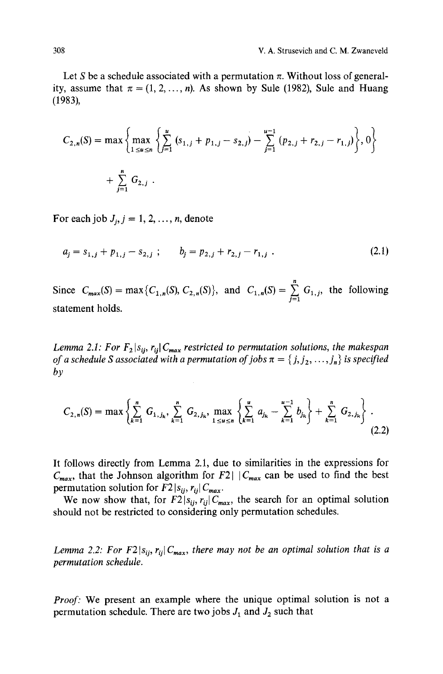Let S be a schedule associated with a permutation  $\pi$ . Without loss of generality, assume that  $\pi = (1, 2, \ldots, n)$ . As shown by Sule (1982), Sule and Huang (1983),

$$
C_{2,n}(S) = \max \left\{ \max_{1 \le u \le n} \left\{ \sum_{j=1}^{u} (s_{1,j} + p_{1,j} - s_{2,j}) - \sum_{j=1}^{u-1} (p_{2,j} + r_{2,j} - r_{1,j}) \right\}, 0 \right\}
$$
  
+ 
$$
\sum_{j=1}^{n} G_{2,j} .
$$

For each job  $J_i$ ,  $j = 1, 2, \ldots, n$ , denote

$$
a_j = s_{1,j} + p_{1,j} - s_{2,j} \; ; \qquad b_j = p_{2,j} + r_{2,j} - r_{1,j} \; . \tag{2.1}
$$

Since  $C_{max}(S) = max\{C_{1,n}(S), C_{2,n}(S)\}\$ , and  $C_{1,n}(S) = \sum_{j=1}^{n} G_{1,j}$ , the following statement holds.

*Lemma 2.1: For*  $F_2 | s_{ij}, r_{ij}| C_{max}$  *restricted to permutation solutions, the makespan of a schedule S associated with a permutation of jobs*  $\pi = \{j, j_2, \ldots, j_n\}$  *is specified by* 

$$
C_{2,n}(S) = \max\left\{\sum_{k=1}^{n} G_{1,j_k}, \sum_{k=1}^{n} G_{2,j_k}, \max_{1 \le u \le n} \left\{\sum_{k=1}^{u} a_{j_k} - \sum_{k=1}^{u-1} b_{j_k}\right\} + \sum_{k=1}^{n} G_{2,j_k}\right\}.
$$
\n(2.2)

It follows directly from Lemma 2.1, due to similarities in the expressions for  $C_{max}$ , that the Johnson algorithm for F2|  $|C_{max}$  can be used to find the best permutation solution for  $F2 |s_{ij}, r_{ij}| C_{max}$ .

We now show that, for  $F2|s_{ij}, r_{ij}|C_{max}$ , the search for an optimal solution should not be restricted to considering only permutation schedules.

*Lemma 2.2: For F2* $|s_{ij}, r_{ij}|C_{max}$ , there may not be an optimal solution that is a *permutation schedule.* 

*Proof:* We present an example where the unique optimal solution is not a permutation schedule. There are two jobs  $J_1$  and  $J_2$  such that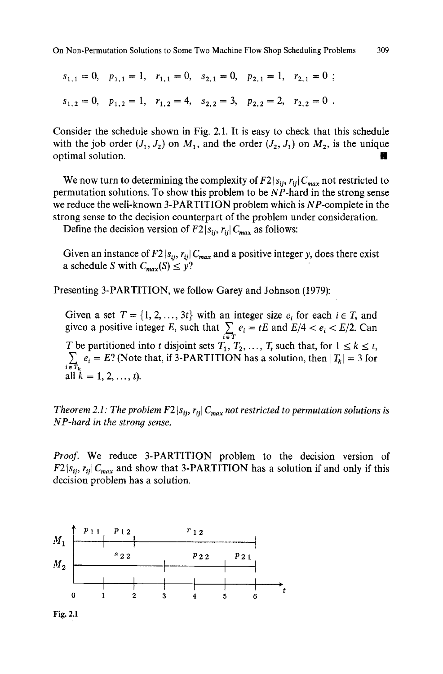On Non-Permutation Solutions to Some Two Machine Flow Shop Scheduling Problems

309

$$
s_{1,1} = 0
$$
,  $p_{1,1} = 1$ ,  $r_{1,1} = 0$ ,  $s_{2,1} = 0$ ,  $p_{2,1} = 1$ ,  $r_{2,1} = 0$ ;  
\n $s_{1,2} = 0$ ,  $p_{1,2} = 1$ ,  $r_{1,2} = 4$ ,  $s_{2,2} = 3$ ,  $p_{2,2} = 2$ ,  $r_{2,2} = 0$ .

Consider the schedule shown in Fig. 2.1. It is easy to check that this schedute with the job order  $(J_1,J_2)$  on  $M_1$ , and the order  $(J_2, J_1)$  on  $M_2$ , is the unique optimal solution.

We now turn to determining the complexity of  $F2 |s_{ij}, r_{ij}| C_{max}$  not restricted to permutation solutions. To show this problem to be NP-hard in the strong sense we reduce the well-known 3-PARTITION problem which is NP-complete in the strong sense to the decision counterpart of the problem under consideration.

Define the decision version of  $F2 | s_{ij}, r_{ij} | C_{max}$  as follows:

Given an instance of  $F2 | s_{ij}, r_{ij} | C_{max}$  and a positive integer y, does there exist a schedule S with  $C_{max}(S) \leq y$ ?

Presenting 3-PARTITION, we follow Garey and Johnson (1979):

Given a set  $T = \{1, 2, ..., 3t\}$  with an integer size  $e_i$  for each  $i \in T$ , and given a positive integer E, such that  $\sum e_i = tE$  and  $E/4 < e_i < E/2$ . Can T be partitioned into t disjoint sets  $T_1, T_2, ..., T_t$  such that, for  $1 \le k \le t$ ,  $\sum_{i \in T_k} e_i = E$ ? (Note that, if 3-PARTITION has a solution, then  $|T_k| = 3$  for all  $k = 1, 2, ..., t$ ).

*Theorem 2.1: The problem F2*  $|s_{ij}, r_{ij}| C_{max}$  not restricted to permutation solutions is *NP-hard in the strong sense.* 

*Proof.* We reduce 3-PARTITION problem to the decision version of  $F2 | s_{ij}, r_{ij} | C_{max}$  and show that 3-PARTITION has a solution if and only if this decision problem has a solution.

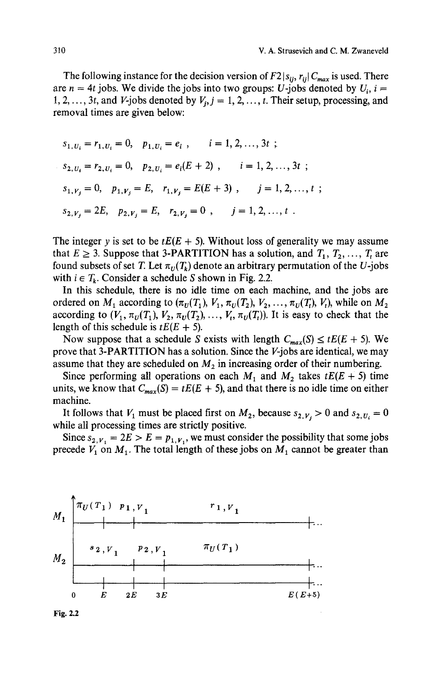The following instance for the decision version of  $F2 |s_{ij}, r_{ij}| C_{max}$  is used. There are  $n = 4t$  jobs. We divide the jobs into two groups: U-jobs denoted by  $U_i$ ,  $i =$ 1, 2, ..., 3t, and *V*-jobs denoted by  $V_i$ ,  $j = 1, 2, ..., t$ . Their setup, processing, and removal times are given below:

$$
s_{1, U_i} = r_{1, U_i} = 0, \quad p_{1, U_i} = e_i, \quad i = 1, 2, ..., 3t ;
$$
  
\n
$$
s_{2, U_i} = r_{2, U_i} = 0, \quad p_{2, U_i} = e_i(E + 2), \quad i = 1, 2, ..., 3t ;
$$
  
\n
$$
s_{1, V_j} = 0, \quad p_{1, V_j} = E, \quad r_{1, V_j} = E(E + 3), \quad j = 1, 2, ..., t ;
$$
  
\n
$$
s_{2, V_j} = 2E, \quad p_{2, V_j} = E, \quad r_{2, V_j} = 0, \quad j = 1, 2, ..., t .
$$

The integer y is set to be  $tE(E + 5)$ . Without loss of generality we may assume that  $E \ge 3$ . Suppose that 3-PARTITION has a solution, and  $T_1, T_2, ..., T_t$  are found subsets of set T. Let  $\pi_U(T_k)$  denote an arbitrary permutation of the U-jobs with  $i \in T_k$ . Consider a schedule S shown in Fig. 2.2.

In this schedule, there is no idle time on each machine, and the jobs are ordered on  $M_1$  according to  $(\pi_U(T_1), V_1, \pi_U(T_2), V_2, \ldots, \pi_U(T_i), V_t)$ , while on  $M_2$ according to  $(V_1, \pi_U(T_1), V_2, \pi_U(T_2), \ldots, V_t, \pi_U(T_t))$ . It is easy to check that the length of this schedule is  $tE(E + 5)$ .

Now suppose that a schedule S exists with length  $C_{max}(S) \leq tE(E + 5)$ . We prove that 3-PARTITION has a solution. Since the V-jobs are identical, we may assume that they are scheduled on  $M_2$  in increasing order of their numbering.

Since performing all operations on each  $M_1$  and  $M_2$  takes  $tE(E + 5)$  time units, we know that  $C_{max}(S) = tE(E + 5)$ , and that there is no idle time on either machine.

It follows that  $V_1$  must be placed first on  $M_2$ , because  $s_{2,V_i} > 0$  and  $s_{2,U_i} = 0$ while all processing times are strictly positive.

Since  $s_{2, V_1} = 2E > E = p_{1, V_1}$ , we must consider the possibility that some jobs precede  $V_1$  on  $M_1$ . The total length of these jobs on  $M_1$  cannot be greater than



Fig. 2.2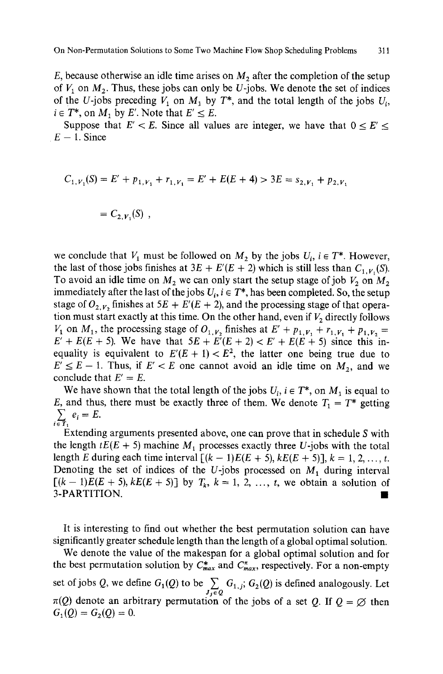E, because otherwise an idle time arises on  $M_2$  after the completion of the setup of  $V_1$  on  $M_2$ . Thus, these jobs can only be U-jobs. We denote the set of indices of the U-jobs preceding  $V_1$  on  $M_1$  by  $T^*$ , and the total length of the jobs  $U_i$ ,  $i \in T^*$ , on  $M_1$  by E'. Note that  $E' \leq E$ .

Suppose that  $E' < E$ . Since all values are integer, we have that  $0 \le E' \le$  $E - 1$ . Since

$$
C_{1,V_1}(S) = E' + p_{1,V_1} + r_{1,V_1} = E' + E(E+4) > 3E = s_{2,V_1} + p_{2,V_1}
$$

$$
= C_{2,V_1}(S) ,
$$

we conclude that  $V_1$  must be followed on  $M_2$  by the jobs  $U_i$ ,  $i \in T^*$ . However, the last of those jobs finishes at  $3E + E'(E + 2)$  which is still less than  $C_{1,V}(\mathcal{S})$ . To avoid an idle time on  $M_2$  we can only start the setup stage of job  $V_2$  on  $M_2$ immediately after the last of the jobs  $U_i$ ,  $i \in T^*$ , has been completed. So, the setup stage of  $O_{2,V_2}$  finishes at  $5E + E'(E + 2)$ , and the processing stage of that operation must start exactly at this time. On the other hand, even if  $V_2$  directly follows  $V_1$  on  $M_1$ , the processing stage of  $O_{1, V_2}$  finishes at  $E' + p_{1, V_1} + r_{1, V_1} + p_{1, V_2} =$  $E' + E(E + 5)$ . We have that  $5E + E^{7}(E + 2) < E' + E(E + 5)$  since this inequality is equivalent to  $E'(E + 1) < E^2$ , the latter one being true due to  $E' \le E - 1$ . Thus, if  $E' < E$  one cannot avoid an idle time on  $M_2$ , and we conclude that  $E' = E$ .

We have shown that the total length of the jobs  $U_i$ ,  $i \in T^*$ , on  $M_1$  is equal to E, and thus, there must be exactly three of them. We denote  $T_1 = T^*$  getting  $\sum_{i \in T_1} e_i = E.$ 

Extending arguments presented above, one can prove that in schedule S with the length  $tE(E + 5)$  machine  $M_1$  processes exactly three U-jobs with the total length E during each time interval  $[(k-1)E(E+5), kE(E+5)], k = 1, 2, ..., t.$ Denoting the set of indices of the U-jobs processed on  $M_1$  during interval  $[(k-1)E(E + 5), kE(E + 5)]$  by  $T_k$ ,  $k = 1, 2, ..., t$ , we obtain a solution of  $3-PARTITION.$ 

It is interesting to find out whether the best permutation solution can have significantly greater schedule length than the length of a global optimal solution.

We denote the value of the makespan for a global optimal solution and for the best permutation solution by  $C^*_{max}$  and  $C^{\pi}_{max}$ , respectively. For a non-empty set of jobs Q, we define  $G_1(Q)$  to be  $\sum_{J_j \in Q} G_{1,j}$ ;  $G_2(Q)$  is defined analogously. Let  $\pi(Q)$  denote an arbitrary permutation of the jobs of a set Q. If  $Q = \varnothing$  then  $G_1(Q) = G_2(Q) = 0.$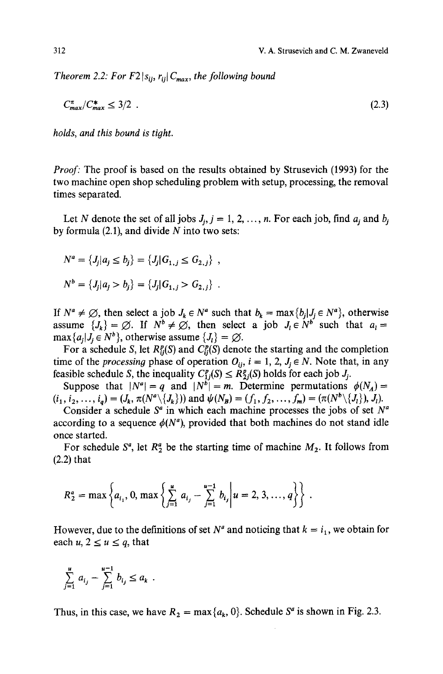*Theorem 2.2: For F2*  $|s_{ij}, r_{ij}| C_{max}$ , the following bound

$$
C_{max}^{\pi}/C_{max}^* \le 3/2 \tag{2.3}
$$

*holds, and this bound is tioht.* 

*Proof:* The proof is based on the results obtained by Strusevich (1993) for the two machine open shop scheduling problem with setup, processing, the removal times separated.

Let N denote the set of all jobs  $J_i$ ,  $j = 1, 2, ..., n$ . For each job, find  $a_i$  and  $b_i$ by formula  $(2.1)$ , and divide N into two sets:

$$
N^a = \{J_j | a_j \le b_j\} = \{J_j | G_{1,j} \le G_{2,j}\},
$$
  

$$
N^b = \{J_j | a_j > b_j\} = \{J_j | G_{1,j} > G_{2,j}\}.
$$

If  $N^a \neq \emptyset$ , then select a job  $J_k \in N^a$  such that  $b_k = \max\{b_i | J_i \in N^a\}$ , otherwise assume  $\{J_k\} = \emptyset$ . If  $N^b \neq \emptyset$ , then select a job  $J_i \in N^b$  such that  $a_i =$  $\max\{a_i | J_i \in N^b\}$ , otherwise assume  $\{J_i\} = \emptyset$ .

For a schedule S, let  $R_{ij}^p(S)$  and  $C_{ij}^p(S)$  denote the starting and the completion time of the *processing* phase of operation  $O_{ii}$ ,  $i = 1, 2, J_j \in N$ . Note that, in any feasible schedule S, the inequality  $C_{1i}^p(S) \leq R_{2i}^p(S)$  holds for each job  $J_i$ .

Suppose that  $|N^a| = q$  and  $|N^b| = m$ . Determine permutations  $\phi(N_A) =$  $(i_1, i_2, \ldots, i_q) = (J_k, \pi(N^a \setminus \{J_k\}))$  and  $\psi(N_B) = (f_1, f_2, \ldots, f_m) = (\pi(N^b \setminus \{J_l\}), J_l).$ 

Consider a schedule  $S^a$  in which each machine processes the jobs of set  $N^a$ according to a sequence  $\phi(N^a)$ , provided that both machines do not stand idle once started.

For schedule  $S^a$ , let  $R^a_2$  be the starting time of machine  $M_2$ . It follows from (2.2) that

$$
R_2^a = \max \left\{ a_{i_1}, 0, \max \left\{ \sum_{j=1}^u a_{i_j} - \sum_{j=1}^{u-1} b_{i_j} \middle| u = 2, 3, ..., q \right\} \right\}.
$$

However, due to the definitions of set  $N^a$  and noticing that  $k = i_1$ , we obtain for each  $u, 2 \le u \le q$ , that

$$
\sum_{j=1}^u a_{i_j} - \sum_{j=1}^{u-1} b_{i_j} \le a_k \ .
$$

Thus, in this case, we have  $R_2 = \max\{a_k, 0\}$ . Schedule  $S^d$  is shown in Fig. 2.3.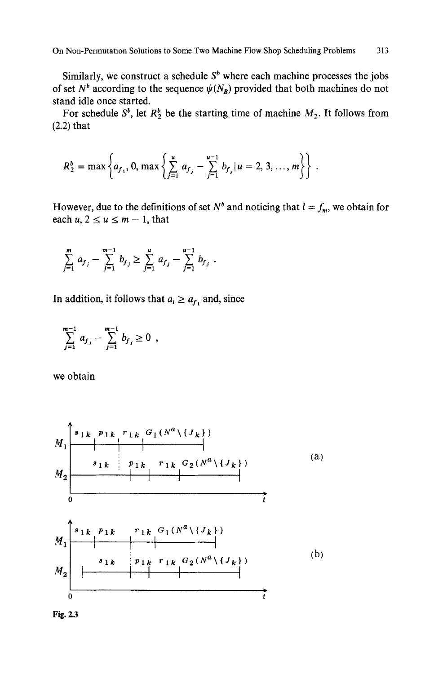On Non-Permutation Solutions to Some Two Machine Flow Shop Scheduling Problems 313

Similarly, we construct a schedule  $S<sup>b</sup>$  where each machine processes the jobs of set  $N^b$  according to the sequence  $\psi(N_B)$  provided that both machines do not stand idle once started.

For schedule  $S^b$ , let  $R_2^b$  be the starting time of machine  $M_2$ . It follows from (2.2) that

$$
R_2^b = \max \left\{ a_{f_1}, 0, \max \left\{ \sum_{j=1}^u a_{f_j} - \sum_{j=1}^{u-1} b_{f_j} | u = 2, 3, ..., m \right\} \right\}.
$$

However, due to the definitions of set  $N^b$  and noticing that  $l = f_m$ , we obtain for each  $u, 2 \le u \le m - 1$ , that

$$
\sum_{j=1}^m a_{f_j} - \sum_{j=1}^{m-1} b_{f_j} \ge \sum_{j=1}^u a_{f_j} - \sum_{j=1}^{u-1} b_{f_j} .
$$

In addition, it follows that  $a_l \ge a_{f_1}$  and, since

$$
\sum_{j=1}^{m-1} a_{f_j} - \sum_{j=1}^{m-1} b_{f_j} \ge 0 ,
$$

we obtain

*rlk Gl(Na\{Jk}) Plk M2MlISlk 1 I I*  (a) *Slk Plk rlk G2(ga\{Jk}) I I I o* **JI:** s k *rlk Gl(Na\{gk}) Plk*  M1 *I I I*  (b) *Slk Plk rlk G2(Na\(Jk})*  M2 *I I I*  o

Fig. 2.3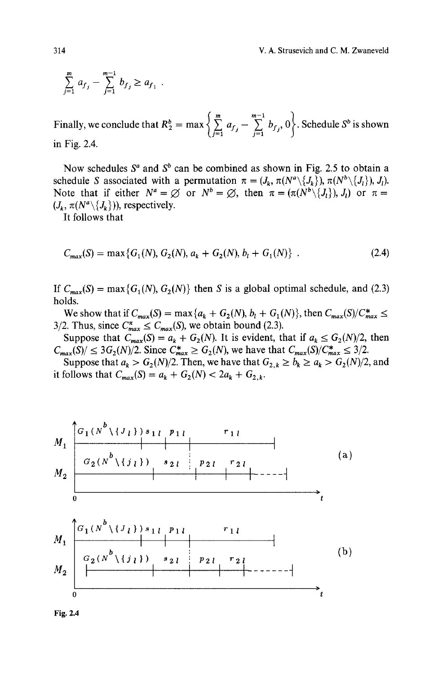$$
\sum_{j=1}^m a_{f_j} - \sum_{j=1}^{m-1} b_{f_j} \ge a_{f_1} .
$$

Finally, we conclude that  $R_2^b = \max \left\{ \sum_{i=1}^{m} a_{f_i} - \sum_{i=1}^{m-1} b_{f_i}, 0 \right\}$ . Schedule  $S^b$  is shown  $(j=1$   $j=1$ in Fig. 2.4.

Now schedules  $S^a$  and  $S^b$  can be combined as shown in Fig. 2.5 to obtain a schedule S associated with a permutation  $\pi = (J_k, \pi(N^a \setminus \{J_k\}), \pi(N^b \setminus \{J_l\}), J_l).$ Note that if either  $N^a = \emptyset$  or  $N^b = \emptyset$ , then  $\pi = (\pi(N^b \setminus \{J_i\}), J_i)$  or  $\pi =$  $(J_k, \pi(N^a \setminus \{J_k\}))$ , respectively.

It follows that

$$
C_{max}(S) = \max\{G_1(N), G_2(N), a_k + G_2(N), b_l + G_1(N)\} \tag{2.4}
$$

If  $C_{max}(S) = \max\{G_1(N), G_2(N)\}\$  then S is a global optimal schedule, and (2.3) holds.

We show that if  $C_{max}(S) = \max\{a_k + G_2(N), b_l + G_1(N)\}\)$ , then  $C_{max}(S)/C_{max}^* \leq$ 3/2. Thus, since  $C_{max}^{\pi} \leq C_{max}(S)$ , we obtain bound (2.3).

Suppose that  $C_{max}(S) = a_k + G_2(N)$ . It is evident, that if  $a_k \leq G_2(N)/2$ , then  $C_{max}(S)/ \leq 3G_2(N)/2$ . Since  $C_{max}^* \geq G_2(N)$ , we have that  $C_{max}(S)/C_{max}^* \leq 3/2$ .

Suppose that  $a_k > G_2(N)/2$ . Then, we have that  $G_{2,k} \geq b_k \geq a_k > G_2(N)/2$ , and it follows that  $C_{max}(S) = a_k + G_2(N) < 2a_k + G_{2,k}$ .

$$
M_{1} \begin{bmatrix} G_{1}(N^{b}\setminus\{J_{l}\}) s_{1 l} & p_{1 l} & r_{1 l} \\ \hline G_{2}(N^{b}\setminus\{j_{l}\}) & s_{2 l} & p_{2 l} & r_{2 l} \\ 0 & & & & & \\ 0 & & & & & \\ \hline \end{bmatrix}
$$
 (a)  

$$
M_{1} \begin{bmatrix} G_{1}(N^{b}\setminus\{J_{l}\}) s_{1 l} & p_{1 l} & r_{1 l} \\ \hline G_{2}(N^{b}\setminus\{j_{l}\}) & s_{2 l} & p_{2 l} & r_{2 l} \\ \hline G_{2}(N^{b}\setminus\{j_{l}\}) & s_{2 l} & p_{2 l} & r_{2 l} \\ 0 & & & & & \\ \end{bmatrix}
$$
 (b)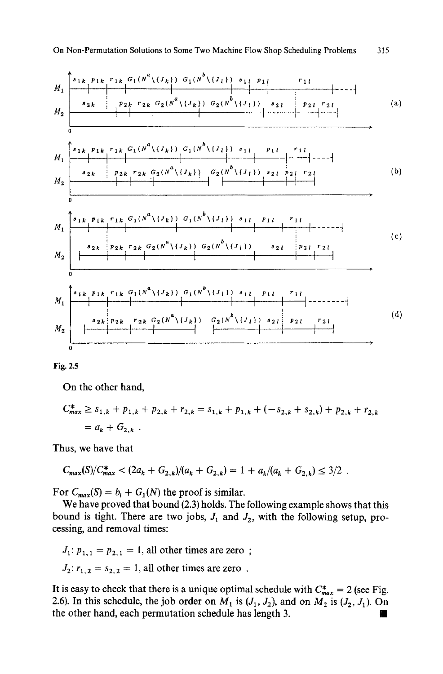$$
M_{1}
$$
\n
$$
M_{2}
$$
\n
$$
M_{2}
$$
\n
$$
M_{3}
$$
\n
$$
M_{1}
$$
\n
$$
M_{2}
$$
\n
$$
M_{2}
$$
\n
$$
M_{3}
$$
\n
$$
M_{1}
$$
\n
$$
M_{2}
$$
\n
$$
M_{2}
$$
\n
$$
M_{3}
$$
\n
$$
M_{1}
$$
\n
$$
M_{2}
$$
\n
$$
M_{2}
$$
\n
$$
M_{3}
$$
\n
$$
M_{1}
$$
\n
$$
M_{2}
$$
\n
$$
M_{2}
$$
\n
$$
M_{3}
$$
\n
$$
M_{1}
$$
\n
$$
M_{2}
$$
\n
$$
M_{2}
$$
\n
$$
M_{3}
$$
\n
$$
M_{1}
$$
\n
$$
M_{2}
$$
\n
$$
M_{2}
$$
\n
$$
M_{3}
$$
\n
$$
M_{1}
$$
\n
$$
M_{2}
$$
\n
$$
M_{2}
$$
\n
$$
M_{3}
$$
\n
$$
M_{1}
$$
\n
$$
M_{2}
$$
\n
$$
M_{2}
$$
\n
$$
M_{3}
$$
\n
$$
M_{1}
$$
\n
$$
M_{2}
$$
\n
$$
M_{2}
$$
\n
$$
M_{3}
$$
\n
$$
M_{1}
$$
\n
$$
M_{2}
$$
\n
$$
M_{2}
$$
\n
$$
M_{3}
$$
\n
$$
M_{3}
$$
\n
$$
M_{2}
$$
\n
$$
M_{3}
$$
\n
$$
M_{3}
$$
\n
$$
M_{1}
$$
\n
$$
M_{2}
$$
\n
$$
M_{3}
$$
\n
$$
M_{1}
$$
\n
$$
M_{2}
$$
\n
$$
M_{3}
$$
\n
$$
M_{1}
$$
\n
$$
M_{1}
$$
\n
$$
M_{2}
$$
\n
$$
M_{3}
$$
\n
$$
M_{1}
$$



On the other hand,

$$
C_{max}^* \ge s_{1,k} + p_{1,k} + p_{2,k} + r_{2,k} = s_{1,k} + p_{1,k} + (-s_{2,k} + s_{2,k}) + p_{2,k} + r_{2,k}
$$
  
=  $a_k + G_{2,k}$ .

Thus, we have that

$$
C_{max}(S)/C_{max}^* < (2a_k + G_{2,k})/(a_k + G_{2,k}) = 1 + a_k/(a_k + G_{2,k}) \le 3/2.
$$

For  $C_{max}(S) = b_l + G_1(N)$  the proof is similar.

We have proved that bound (2.3) holds. The following example shows that this bound is tight. There are two jobs,  $J_1$  and  $J_2$ , with the following setup, processing, and removal times:

 $J_1: p_{1,1} = p_{2,1} = 1$ , all other times are zero;  $J_2: r_{1,2} = s_{2,2} = 1$ , all other times are zero.

It is easy to check that there is a unique optimal schedule with  $C^*_{max} = 2$  (see Fig. 2.6). In this schedule, the job order on  $M_1$  is  $(J_1, J_2)$ , and on  $M_2$  is  $(J_2, J_1)$ . On the other hand, each permutation schedule has length 3.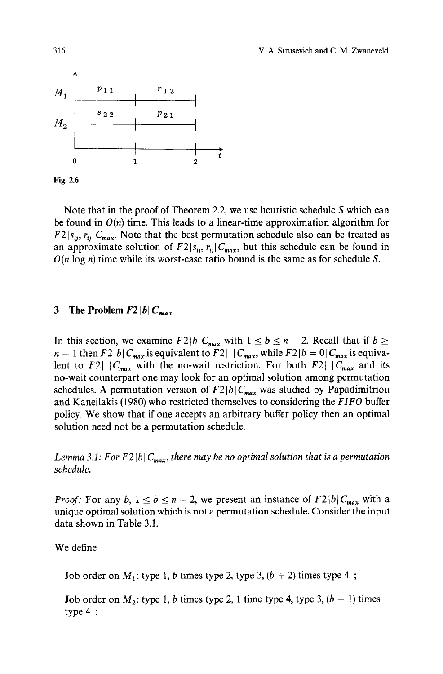

Fig. 2.6

Note that in the proof of Theorem 2.2, we use heuristic schedule S which can be found in  $O(n)$  time. This leads to a linear-time approximation algorithm for  $F2 | s_{ij}, r_{ij} | C_{max}$ . Note that the best permutation schedule also can be treated as an approximate solution of  $F2 |_{S_{ij}}$ ,  $r_{ij} | C_{max}$ , but this schedule can be found in  $O(n \log n)$  time while its worst-case ratio bound is the same as for schedule S.

## 3 The Problem  $F2|b|C_{max}$

In this section, we examine  $F2|b|C_{max}$  with  $1 \le b \le n-2$ . Recall that if  $b \ge$  $n-1$  then  $F2|b|C_{max}$  is equivalent to  $F2|C_{max}$ , while  $F2|b=0|C_{max}$  is equivalent to F2|  $|C_{max}|$  with the no-wait restriction. For both F2|  $|C_{max}|$  and its no-wait counterpart one may look for an optimal solution among permutation schedules. A permutation version of  $F2|b|C_{max}$  was studied by Papadimitriou and Kanellakis (1980) who restricted themselves to considering the *FIFO* buffer policy. We show that if one accepts an arbitrary buffer policy then an optimal solution need not be a permutation schedule.

*Lemma 3.1: For F2* [b]  $C_{max}$ , there may be no optimal solution that is a permutation *schedule.* 

*Proof:* For any b,  $1 \leq b \leq n-2$ , we present an instance of  $F2|b|C_{max}$  with a unique optimal solution which is not a permutation schedule. Consider the input data shown in Table 3.1.

We define

Job order on  $M_1$ : type 1, b times type 2, type 3,  $(b + 2)$  times type 4;

Job order on  $M_2$ : type 1, b times type 2, 1 time type 4, type 3,  $(b + 1)$  times type 4 ;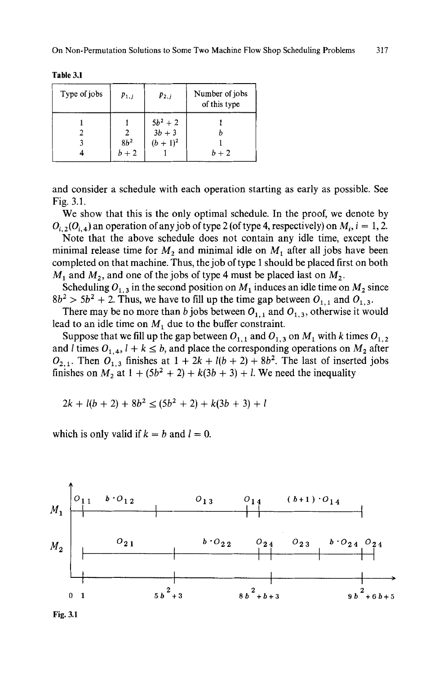| Type of jobs | $p_{1,i}$ | $p_{2,i}$             | Number of jobs<br>of this type |
|--------------|-----------|-----------------------|--------------------------------|
|              |           |                       |                                |
|              |           | $\frac{5b^2+2}{3b+3}$ |                                |
|              | $8h^2$    | $(b + 1)^2$           |                                |
|              | $b+2$     |                       | $b+2$                          |

**Table 3.1** 

**and consider a schedule with each operation starting as early as possible. See Fig. 3.1.** 

**We show that this is the only optimal schedule. In the proof, we denote by**   $O_i$ ,  $O_i$ ,  $\Delta$  an operation of any job of type 2 (of type 4, respectively) on  $M_i$ ,  $i = 1, 2$ .

**Note that the above schedule does not contain any idle time, except the**  minimal release time for  $M_2$  and minimal idle on  $M_1$  after all jobs have been **completed on that machine. Thus, the job of type 1 should be placed first on both**   $M_1$  and  $M_2$ , and one of the jobs of type 4 must be placed last on  $M_2$ .

Scheduling  $O_{1,3}$  in the second position on  $M_1$  induces an idle time on  $M_2$  since  $8b^2 > 5b^2 + 2$ . Thus, we have to fill up the time gap between  $O_{1,1}$  and  $O_{1,3}$ .

There may be no more than b jobs between  $O_{1,1}$  and  $O_{1,3}$ , otherwise it would lead to an idle time on  $M_1$  due to the buffer constraint.

Suppose that we fill up the gap between  $O_{1,1}$  and  $O_{1,3}$  on  $M_1$  with k times  $O_{1,2}$ and *l* times  $O_{1,4}$ ,  $l + k \leq b$ , and place the corresponding operations on  $M_2$  after  $O_{2,1}$ . Then  $O_{1,3}$  finishes at  $1 + 2k + l(b + 2) + 8b^2$ . The last of inserted jobs **finishes on M<sub>2</sub> at**  $1 + (5b^2 + 2) + k(3b + 3) + l$ **. We need the inequality** 

$$
2k + l(b+2) + 8b^2 \le (5b^2 + 2) + k(3b + 3) + l
$$

which is only valid if  $k = b$  and  $l = 0$ .



**Fig. 3.1**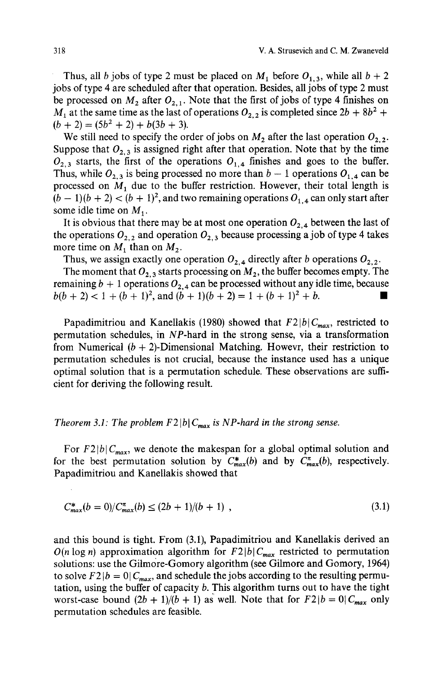Thus, all b jobs of type 2 must be placed on  $M_1$  before  $O_{1,3}$ , while all  $b + 2$ jobs of type 4 are scheduled after that operation. Besides, all jobs of type 2 must be processed on  $M_2$  after  $O_{2,1}$ . Note that the first of jobs of type 4 finishes on  $M_1$  at the same time as the last of operations  $O_{2,2}$  is completed since  $2b + 8b^2 +$  $(b + 2) = (5b<sup>2</sup> + 2) + b(3b + 3).$ 

We still need to specify the order of jobs on  $M_2$  after the last operation  $O_{2,2}$ . Suppose that  $O_{2,3}$  is assigned right after that operation. Note that by the time  $O_{2,3}$  starts, the first of the operations  $O_{1,4}$  finishes and goes to the buffer. Thus, while  $O_{2,3}$  is being processed no more than  $b-1$  operations  $O_{1,4}$  can be processed on  $M_1$  due to the buffer restriction. However, their total length is  $(b-1)(b+2) < (b+1)^2$ , and two remaining operations  $O_{1,4}$  can only start after some idle time on  $M_1$ .

It is obvious that there may be at most one operation  $O_{2,4}$  between the last of the operations  $O_{2,2}$  and operation  $O_{2,3}$  because processing a job of type 4 takes more time on  $M_1$  than on  $M_2$ .

Thus, we assign exactly one operation  $O_{2,4}$  directly after b operations  $O_{2,2}$ .

The moment that  $O_{2,3}$  starts processing on  $M_2$ , the buffer becomes empty. The remaining  $b + 1$  operations  $O_{2,4}$  can be processed without any idle time, because  $b(b+2) < 1 + (b+1)^2$ , and  $(b+1)(b+2) = 1 + (b+1)^2 + b$ .

Papadimitriou and Kanellakis (1980) showed that  $F2|b|C_{max}$ , restricted to permutation schedules, in NP-hard in the strong sense, via a transformation from Numerical  $(b + 2)$ -Dimensional Matching. Howevr, their restriction to permutation schedules is not crucial, because the instance used has a unique optimal solution that is a permutation schedule. These observations are sufficient for deriving the following result.

#### *Theorem 3.1: The problem F2* |b|  $C_{max}$  *is NP-hard in the strong sense.*

For  $F2|b|C_{max}$ , we denote the makespan for a global optimal solution and for the best permutation solution by  $C_{max}^*(b)$  and by  $C_{max}^*(b)$ , respectively. Papadimitriou and Kanellakis showed that

$$
C_{max}^*(b=0)/C_{max}^{\pi}(b) \le (2b+1)/(b+1) \tag{3.1}
$$

and this bound is tight. From (3.1), Papadimitriou and Kanellakis derived an  $O(n \log n)$  approximation algorithm for  $F2|b|C_{max}$  restricted to permutation solutions: use the Gilmore-Gomory algorithm (see Gilmore and Gomory, 1964) to solve  $F2|b=0|C_{max}$ , and schedule the jobs according to the resulting permutation, using the buffer of capacity  $b$ . This algorithm turns out to have the tight worst-case bound  $(2b + 1)/(b + 1)$  as well. Note that for  $F2|b = 0|C_{max}$  only permutation schedules are feasible.